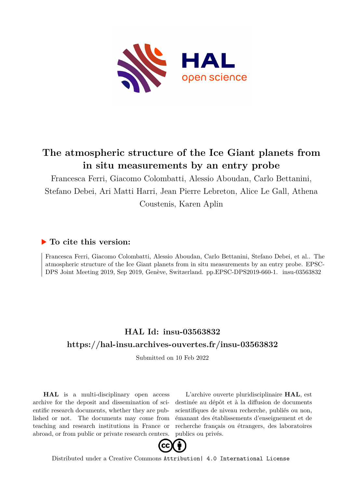

# **The atmospheric structure of the Ice Giant planets from in situ measurements by an entry probe**

Francesca Ferri, Giacomo Colombatti, Alessio Aboudan, Carlo Bettanini, Stefano Debei, Ari Matti Harri, Jean Pierre Lebreton, Alice Le Gall, Athena Coustenis, Karen Aplin

## **To cite this version:**

Francesca Ferri, Giacomo Colombatti, Alessio Aboudan, Carlo Bettanini, Stefano Debei, et al.. The atmospheric structure of the Ice Giant planets from in situ measurements by an entry probe. EPSC-DPS Joint Meeting 2019, Sep 2019, Genève, Switzerland. pp.EPSC-DPS2019-660-1. insu-03563832

## **HAL Id: insu-03563832 <https://hal-insu.archives-ouvertes.fr/insu-03563832>**

Submitted on 10 Feb 2022

**HAL** is a multi-disciplinary open access archive for the deposit and dissemination of scientific research documents, whether they are published or not. The documents may come from teaching and research institutions in France or abroad, or from public or private research centers.

L'archive ouverte pluridisciplinaire **HAL**, est destinée au dépôt et à la diffusion de documents scientifiques de niveau recherche, publiés ou non, émanant des établissements d'enseignement et de recherche français ou étrangers, des laboratoires publics ou privés.



Distributed under a Creative Commons [Attribution| 4.0 International License](http://creativecommons.org/licenses/by/4.0/)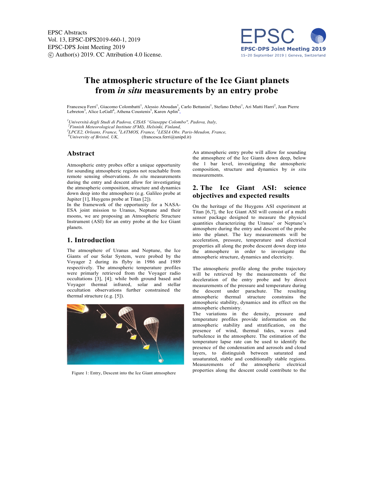

### **The atmospheric structure of the Ice Giant planets from** *in situ* **measurements by an entry probe**

Francesca Ferri<sup>1</sup>, Giacomo Colombatti<sup>1</sup>, Alessio Aboudan<sup>1</sup>, Carlo Bettanini<sup>1</sup>, Stefano Debei<sup>1</sup>, Ari Matti Harri<sup>2</sup>, Jean Pierre Lebreton<sup>3</sup>, Alice LeGall<sup>4</sup>, Athena Coustenis<sup>5</sup>, Karen Aplin<sup>6</sup>,

*1 Università degli Studi di Padova, CISAS "Giuseppe Colombo", Padova, Italy, <sup>2</sup>*

*Finnish Meteorological Institute (FMI), Helsinki, Finland, <sup>3</sup>*

*LPCE2, Orleans, France, <sup>4</sup> LATMOS, France, <sup>5</sup> LESIA Obs. Paris-Meudon, France, <sup>6</sup>*

<sup>6</sup>University of Bristol, UK, (francesca.ferri@unipd.it)

#### **Abstract**

Atmospheric entry probes offer a unique opportunity for sounding atmospheric regions not reachable from remote sensing observations. *In situ* measurements during the entry and descent allow for investigating the atmospheric composition, structure and dynamics down deep into the atmosphere (e.g. Galileo probe at Jupiter [1], Huygens probe at Titan [2]).

In the framework of the opportunity for a NASA-ESA joint mission to Uranus, Neptune and their moons, we are proposing an Atmospheric Structure Instrument (ASI) for an entry probe at the Ice Giant planets.

#### **1. Introduction**

The atmosphere of Uranus and Neptune, the Ice Giants of our Solar System, were probed by the Voyager 2 during its flyby in 1986 and 1989 respectively. The atmospheric temperature profiles were primarly retrieved from the Voyager radio occultations [3], [4]; while both ground based and Voyager thermal infrared, solar and stellar occultation observations further constrained the thermal structure (e.g. [5]).



Figure 1: Entry, Descent into the Ice Giant atmosphere

An atmospheric entry probe will allow for sounding the atmosphere of the Ice Giants down deep, below the 1 bar level, investigating the atmospheric composition, structure and dynamics by *in situ*  measurements.

#### **2. The Ice Giant ASI: science objectives and expected results**

On the heritage of the Huygens ASI experiment at Titan [6,7], the Ice Giant ASI will consist of a multi sensor package designed to measure the physical quantities characterizing the Uranus' or Neptune's atmosphere during the entry and descent of the probe into the planet. The key measurements will be acceleration, pressure, temperature and electrical properties all along the probe descent down deep into the atmosphere in order to investigate the atmospheric structure, dynamics and electricity.

The atmospheric profile along the probe trajectory will be retrieved by the measurements of the deceleration of the entry probe and by direct measurements of the pressure and temperature during the descent under parachute. The resulting atmospheric thermal structure constrains the atmospheric stability, dynamics and its effect on the atmospheric chemistry.

The variations in the density, pressure and temperature profiles provide information on the atmospheric stability and stratification, on the presence of wind, thermal tides, waves and turbulence in the atmosphere. The estimation of the temperature lapse rate can be used to identify the presence of the condensation and aerosols and cloud layers, to distinguish between saturated and unsaturated, stable and conditionally stable regions. Measurements of the atmospheric electrical properties along the descent could contribute to the